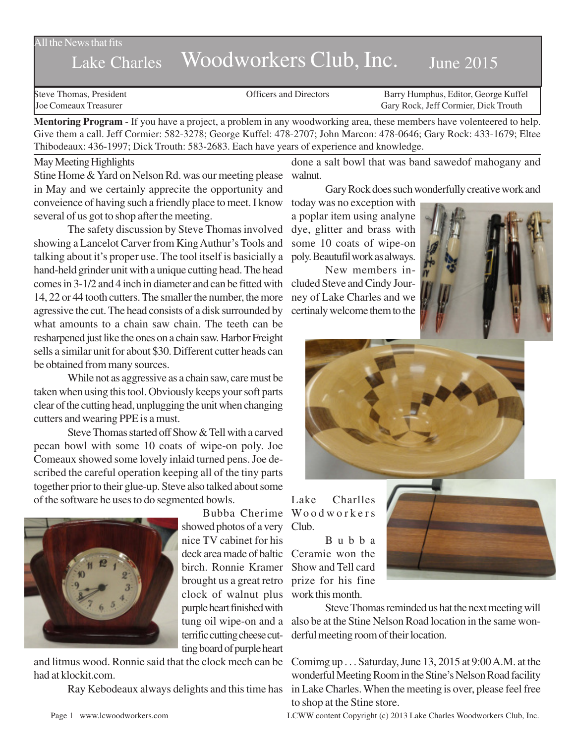All the News that fits

## Lake Charles Woodworkers Club, Inc. June 2015

Steve Thomas, President The Steve Thomas, President Contractors Conficers and Directors Barry Humphus, Editor, George Kuffel<br>Steve Configuration Carv Rock. Jeff Cormier. Dick Trouth Gary Rock, Jeff Cormier, Dick Trouth

**Mentoring Program** - If you have a project, a problem in any woodworking area, these members have volenteered to help. Give them a call. Jeff Cormier: 582-3278; George Kuffel: 478-2707; John Marcon: 478-0646; Gary Rock: 433-1679; Eltee Thibodeaux: 436-1997; Dick Trouth: 583-2683. Each have years of experience and knowledge.

## May Meeting Highlights

Stine Home & Yard on Nelson Rd. was our meeting please in May and we certainly apprecite the opportunity and conveience of having such a friendly place to meet. I know several of us got to shop after the meeting.

The safety discussion by Steve Thomas involved showing a Lancelot Carver from King Authur's Tools and talking about it's proper use. The tool itself is basicially a hand-held grinder unit with a unique cutting head. The head comes in 3-1/2 and 4 inch in diameter and can be fitted with 14, 22 or 44 tooth cutters. The smaller the number, the more agressive the cut. The head consists of a disk surrounded by what amounts to a chain saw chain. The teeth can be resharpened just like the ones on a chain saw. Harbor Freight sells a similar unit for about \$30. Different cutter heads can be obtained from many sources.

While not as aggressive as a chain saw, care must be taken when using this tool. Obviously keeps your soft parts clear of the cutting head, unplugging the unit when changing cutters and wearing PPE is a must.

Steve Thomas started off Show & Tell with a carved pecan bowl with some 10 coats of wipe-on poly. Joe Comeaux showed some lovely inlaid turned pens. Joe described the careful operation keeping all of the tiny parts together prior to their glue-up. Steve also talked about some of the software he uses to do segmented bowls.



showed photos of a very Club. nice TV cabinet for his deck area made of baltic Ceramie won the birch. Ronnie Kramer Show and Tell card brought us a great retro prize for his fine clock of walnut plus work this month. purple heart finished with terrific cutting cheese cutting board of purple heart

and litmus wood. Ronnie said that the clock mech can be had at klockit.com.

done a salt bowl that was band sawedof mahogany and walnut.

Gary Rock does such wonderfully creative work and

today was no exception with a poplar item using analyne dye, glitter and brass with some 10 coats of wipe-on poly. Beautufil work as always.

New members included Steve and Cindy Journey of Lake Charles and we certinaly welcome them to the





Bubba Cherime Woodworkers Lake Charlles

Bubba



tung oil wipe-on and a also be at the Stine Nelson Road location in the same won-Steve Thomas reminded us hat the next meeting will derful meeting room of their location.

Ray Kebodeaux always delights and this time has in Lake Charles. When the meeting is over, please feel free Comimg up . . . Saturday, June 13, 2015 at 9:00 A.M. at the wonderful Meeting Room in the Stine's Nelson Road facility to shop at the Stine store.

Page 1 www.lcwoodworkers.com LCWW content Copyright (c) 2013 Lake Charles Woodworkers Club, Inc.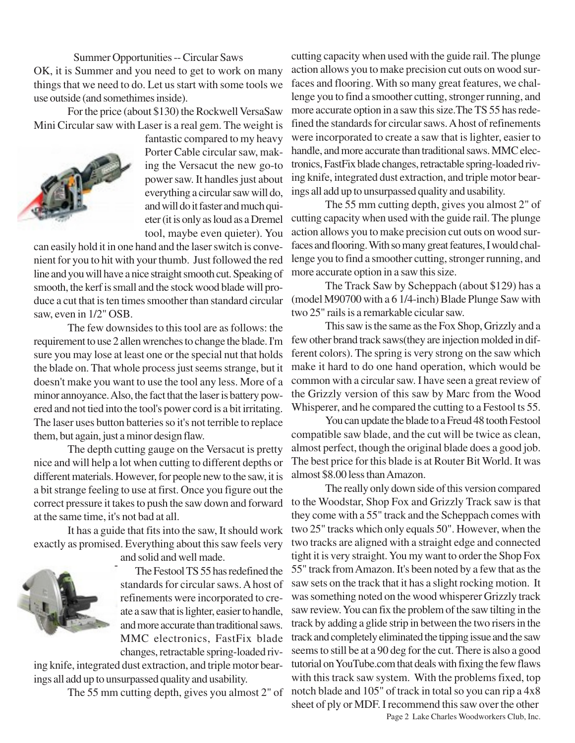Summer Opportunities -- Circular Saws OK, it is Summer and you need to get to work on many things that we need to do. Let us start with some tools we use outside (and somethimes inside).

For the price (about \$130) the Rockwell VersaSaw Mini Circular saw with Laser is a real gem. The weight is



fantastic compared to my heavy Porter Cable circular saw, making the Versacut the new go-to power saw. It handles just about everything a circular saw will do, and will do it faster and much quieter (it is only as loud as a Dremel tool, maybe even quieter). You

can easily hold it in one hand and the laser switch is convenient for you to hit with your thumb. Just followed the red line and you will have a nice straight smooth cut. Speaking of smooth, the kerf is small and the stock wood blade will produce a cut that is ten times smoother than standard circular saw, even in 1/2" OSB.

The few downsides to this tool are as follows: the requirement to use 2 allen wrenches to change the blade. I'm sure you may lose at least one or the special nut that holds the blade on. That whole process just seems strange, but it doesn't make you want to use the tool any less. More of a minor annoyance. Also, the fact that the laser is battery powered and not tied into the tool's power cord is a bit irritating. The laser uses button batteries so it's not terrible to replace them, but again, just a minor design flaw.

The depth cutting gauge on the Versacut is pretty nice and will help a lot when cutting to different depths or different materials. However, for people new to the saw, it is a bit strange feeling to use at first. Once you figure out the correct pressure it takes to push the saw down and forward at the same time, it's not bad at all.

It has a guide that fits into the saw, It should work exactly as promised. Everything about this saw feels very



and solid and well made.

The Festool TS 55 has redefined the standards for circular saws. A host of refinements were incorporated to create a saw that is lighter, easier to handle, and more accurate than traditional saws. MMC electronics, FastFix blade changes, retractable spring-loaded riv-

ing knife, integrated dust extraction, and triple motor bearings all add up to unsurpassed quality and usability.

The 55 mm cutting depth, gives you almost 2" of

cutting capacity when used with the guide rail. The plunge action allows you to make precision cut outs on wood surfaces and flooring. With so many great features, we challenge you to find a smoother cutting, stronger running, and more accurate option in a saw this size.The TS 55 has redefined the standards for circular saws. A host of refinements were incorporated to create a saw that is lighter, easier to handle, and more accurate than traditional saws. MMC electronics, FastFix blade changes, retractable spring-loaded riving knife, integrated dust extraction, and triple motor bearings all add up to unsurpassed quality and usability.

The 55 mm cutting depth, gives you almost 2" of cutting capacity when used with the guide rail. The plunge action allows you to make precision cut outs on wood surfaces and flooring. With so many great features, I would challenge you to find a smoother cutting, stronger running, and more accurate option in a saw this size.

The Track Saw by Scheppach (about \$129) has a (model M90700 with a 6 1/4-inch) Blade Plunge Saw with two 25" rails is a remarkable cicular saw.

This saw is the same as the Fox Shop, Grizzly and a few other brand track saws(they are injection molded in different colors). The spring is very strong on the saw which make it hard to do one hand operation, which would be common with a circular saw. I have seen a great review of the Grizzly version of this saw by Marc from the Wood Whisperer, and he compared the cutting to a Festool ts 55.

You can update the blade to a Freud 48 tooth Festool compatible saw blade, and the cut will be twice as clean, almost perfect, though the original blade does a good job. The best price for this blade is at Router Bit World. It was almost \$8.00 less than Amazon.

The really only down side of this version compared to the Woodstar, Shop Fox and Grizzly Track saw is that they come with a 55" track and the Scheppach comes with two 25" tracks which only equals 50". However, when the two tracks are aligned with a straight edge and connected tight it is very straight. You my want to order the Shop Fox 55" track from Amazon. It's been noted by a few that as the saw sets on the track that it has a slight rocking motion. It was something noted on the wood whisperer Grizzly track saw review. You can fix the problem of the saw tilting in the track by adding a glide strip in between the two risers in the track and completely eliminated the tipping issue and the saw seems to still be at a 90 deg for the cut. There is also a good tutorial on YouTube.com that deals with fixing the few flaws with this track saw system. With the problems fixed, top notch blade and 105" of track in total so you can rip a 4x8 sheet of ply or MDF. I recommend this saw over the other

Page 2 Lake Charles Woodworkers Club, Inc.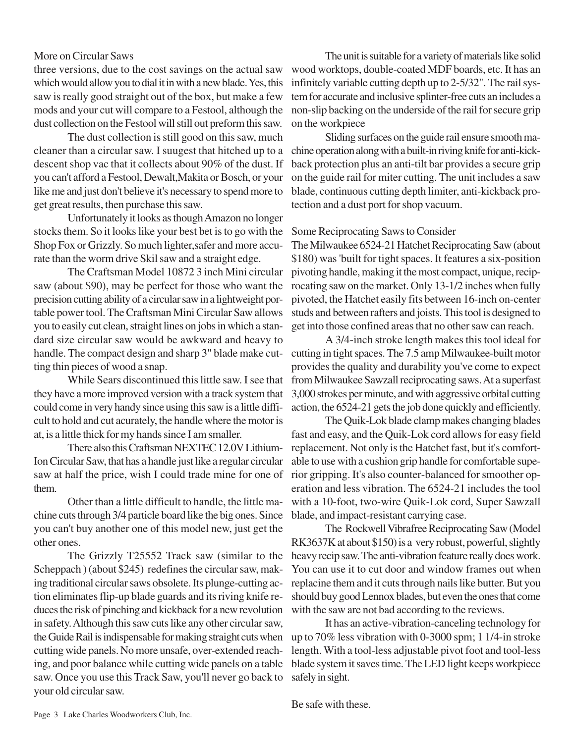## More on Circular Saws

three versions, due to the cost savings on the actual saw which would allow you to dial it in with a new blade. Yes, this saw is really good straight out of the box, but make a few mods and your cut will compare to a Festool, although the dust collection on the Festool will still out preform this saw.

The dust collection is still good on this saw, much cleaner than a circular saw. I suugest that hitched up to a descent shop vac that it collects about 90% of the dust. If you can't afford a Festool, Dewalt,Makita or Bosch, or your like me and just don't believe it's necessary to spend more to get great results, then purchase this saw.

Unfortunately it looks as though Amazon no longer stocks them. So it looks like your best bet is to go with the Shop Fox or Grizzly. So much lighter,safer and more accurate than the worm drive Skil saw and a straight edge.

The Craftsman Model 10872 3 inch Mini circular saw (about \$90), may be perfect for those who want the precision cutting ability of a circular saw in a lightweight portable power tool. The Craftsman Mini Circular Saw allows you to easily cut clean, straight lines on jobs in which a standard size circular saw would be awkward and heavy to handle. The compact design and sharp 3" blade make cutting thin pieces of wood a snap.

While Sears discontinued this little saw. I see that they have a more improved version with a track system that could come in very handy since using this saw is a little difficult to hold and cut acurately, the handle where the motor is at, is a little thick for my hands since I am smaller.

There also this Craftsman NEXTEC 12.0V Lithium-Ion Circular Saw, that has a handle just like a regular circular saw at half the price, wish I could trade mine for one of them.

Other than a little difficult to handle, the little machine cuts through 3/4 particle board like the big ones. Since you can't buy another one of this model new, just get the other ones.

The Grizzly T25552 Track saw (similar to the Scheppach ) (about \$245) redefines the circular saw, making traditional circular saws obsolete. Its plunge-cutting action eliminates flip-up blade guards and its riving knife reduces the risk of pinching and kickback for a new revolution in safety. Although this saw cuts like any other circular saw, the Guide Rail is indispensable for making straight cuts when cutting wide panels. No more unsafe, over-extended reaching, and poor balance while cutting wide panels on a table saw. Once you use this Track Saw, you'll never go back to your old circular saw.

The unit is suitable for a variety of materials like solid wood worktops, double-coated MDF boards, etc. It has an infinitely variable cutting depth up to 2-5/32". The rail system for accurate and inclusive splinter-free cuts an includes a non-slip backing on the underside of the rail for secure grip on the workpiece

Sliding surfaces on the guide rail ensure smooth machine operation along with a built-in riving knife for anti-kickback protection plus an anti-tilt bar provides a secure grip on the guide rail for miter cutting. The unit includes a saw blade, continuous cutting depth limiter, anti-kickback protection and a dust port for shop vacuum.

## Some Reciprocating Saws to Consider

The Milwaukee 6524-21 Hatchet Reciprocating Saw (about \$180) was 'built for tight spaces. It features a six-position pivoting handle, making it the most compact, unique, reciprocating saw on the market. Only 13-1/2 inches when fully pivoted, the Hatchet easily fits between 16-inch on-center studs and between rafters and joists. This tool is designed to get into those confined areas that no other saw can reach.

A 3/4-inch stroke length makes this tool ideal for cutting in tight spaces. The 7.5 amp Milwaukee-built motor provides the quality and durability you've come to expect from Milwaukee Sawzall reciprocating saws. At a superfast 3,000 strokes per minute, and with aggressive orbital cutting action, the 6524-21 gets the job done quickly and efficiently.

The Quik-Lok blade clamp makes changing blades fast and easy, and the Quik-Lok cord allows for easy field replacement. Not only is the Hatchet fast, but it's comfortable to use with a cushion grip handle for comfortable superior gripping. It's also counter-balanced for smoother operation and less vibration. The 6524-21 includes the tool with a 10-foot, two-wire Quik-Lok cord, Super Sawzall blade, and impact-resistant carrying case.

The Rockwell Vibrafree Reciprocating Saw (Model RK3637K at about \$150) is a very robust, powerful, slightly heavy recip saw. The anti-vibration feature really does work. You can use it to cut door and window frames out when replacine them and it cuts through nails like butter. But you should buy good Lennox blades, but even the ones that come with the saw are not bad according to the reviews.

It has an active-vibration-canceling technology for up to 70% less vibration with 0-3000 spm; 1 1/4-in stroke length. With a tool-less adjustable pivot foot and tool-less blade system it saves time. The LED light keeps workpiece safely in sight.

Be safe with these.